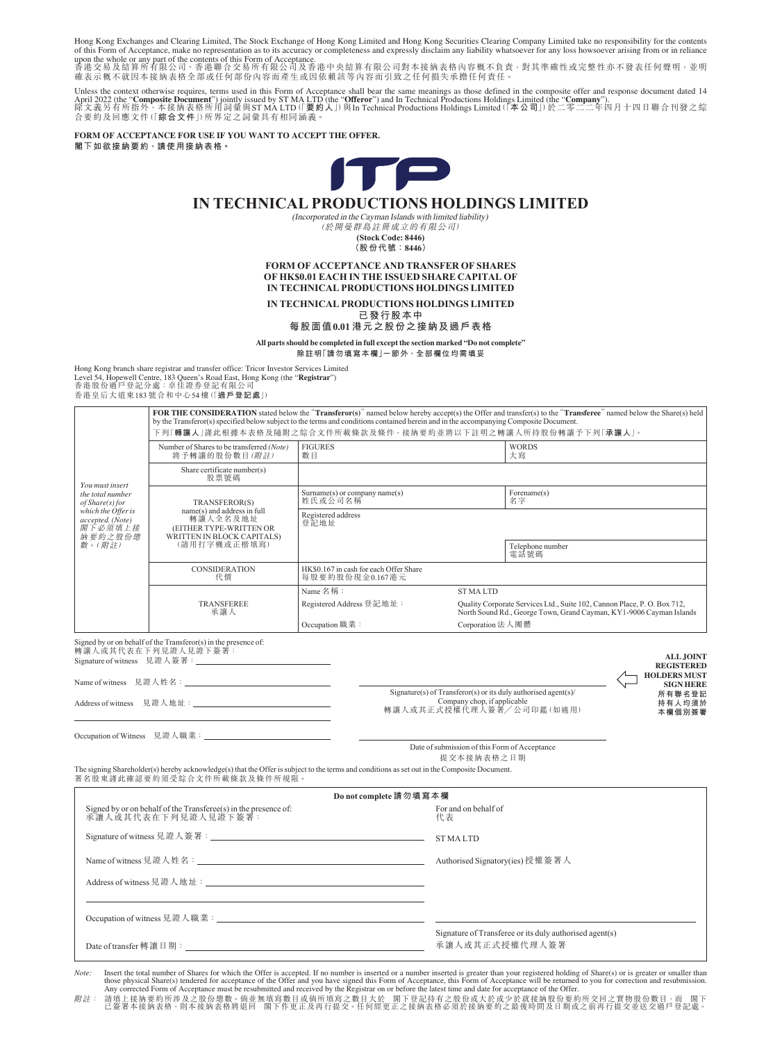Hong Kong Exchanges and Clearing Limited, The Stock Exchange of Hong Kong Limited and Hong Kong Securities Clearing Company Limited take no responsibility for the contents

of this Form of Acceptance, make no representation as to its accuracy or completeness and expressly disclaim any liability whatsoever for any loss howsoever arising from or in reliance<br>upon the whole or any part of the co

Unless the context otherwise requires, terms used in this Form of Acceptance shall bear the same meanings as those defined in the composite offer and response document dated 14 April 2022 (the "Composite Document") jointly issued by ST MA LTD (the "Offeror") and In Technical Productions Holdings Limited (the "Company").<br>除文義另有所指外,本接納表格所用詞彙與ST MA LTD (「要約人」)與In Technical Productions Holdings Limit 合要約及回應文件(「**綜合文件**」)所界定之詞彙具有相同涵義。

**FORM OF ACCEPTANCE FOR USE IF YOU WANT TO ACCEPT THE OFFER. 閣下如欲接納要約,請使用接納表格。**



# **IN TECHNICAL PRODUCTIONS HOLDINGS LIMITED**

(Incorporated in the Cayman Islands with limited liability) (於開曼群島註冊成立的有限公司)

**(Stock Code: 8446) (股份代號:8446)**

**FORM OF ACCEPTANCE AND TRANSFER OF SHARES OF HK\$0.01 EACH IN THE ISSUED SHARE CAPITAL OF IN TECHNICAL PRODUCTIONS HOLDINGS LIMITED**

**IN TECHNICAL PRODUCTIONS HOLDINGS LIMITED**

**已發行股本中 每股面值0.01 港元之股份之接納及過戶表格**

**All parts should be completed in full except the section marked "Do not complete"**

**除註明「請勿填寫本欄」一節外,全部欄位均需填妥**

Hong Kong branch share registrar and transfer office: Tricor Investor Services Limited Level 54, Hopewell Centre, 183 Queen's Road East, Hong Kong (the "**Registrar**") 香港股份過戶登記分處:卓佳證券登記有限公司 香港皇后大道東183 號合和中心54 樓(「**過戶登記處**」)

| You must insert<br>the total number<br>of Share(s) for<br>which the Offer is<br>accepted. (Note)<br>閣下必須填上接<br>納要約之股份總<br>數。(附註) |                                                                                                                                              |                                                           | FOR THE CONSIDERATION stated below the "Transferor(s)" named below hereby accept(s) the Offer and transfer(s) to the "Transferee" named below the Share(s) held<br>by the Transferor(s) specified below subject to the terms and conditions contained herein and in the accompanying Composite Document.<br>下列「轉讓人」謹此根據本表格及隨附之綜合文件所載條款及條件,接納要約並將以下註明之轉讓人所持股份轉讓予下列「承讓人」。 |
|----------------------------------------------------------------------------------------------------------------------------------|----------------------------------------------------------------------------------------------------------------------------------------------|-----------------------------------------------------------|-------------------------------------------------------------------------------------------------------------------------------------------------------------------------------------------------------------------------------------------------------------------------------------------------------------------------------------------------------------------------|
|                                                                                                                                  | Number of Shares to be transferred (Note)<br>將予轉讓的股份數目(附註)                                                                                   | <b>FIGURES</b><br>數目                                      | <b>WORDS</b><br>大寫                                                                                                                                                                                                                                                                                                                                                      |
|                                                                                                                                  | Share certificate number(s)<br>股票號碼                                                                                                          |                                                           |                                                                                                                                                                                                                                                                                                                                                                         |
|                                                                                                                                  | TRANSFEROR(S)<br>name(s) and address in full<br>轉讓人全名及地址<br>(EITHER TYPE-WRITTEN OR<br>WRITTEN IN BLOCK CAPITALS)<br>(請用打字機或正楷填寫)            | $Surname(s)$ or company name(s)<br>姓氏或公司名稱                | Forename(s)<br>名字                                                                                                                                                                                                                                                                                                                                                       |
|                                                                                                                                  |                                                                                                                                              | Registered address<br>登記地址                                | Telephone number                                                                                                                                                                                                                                                                                                                                                        |
|                                                                                                                                  |                                                                                                                                              |                                                           | 電話號碼                                                                                                                                                                                                                                                                                                                                                                    |
|                                                                                                                                  | CONSIDERATION<br>代價                                                                                                                          | HK\$0.167 in cash for each Offer Share<br>每股要約股份現金0.167港元 |                                                                                                                                                                                                                                                                                                                                                                         |
|                                                                                                                                  | TRANSFEREE<br>承讓人                                                                                                                            | Name 名稱:                                                  | <b>STMALTD</b>                                                                                                                                                                                                                                                                                                                                                          |
|                                                                                                                                  |                                                                                                                                              | Registered Address 登記地址:                                  | Quality Corporate Services Ltd., Suite 102, Cannon Place, P. O. Box 712,<br>North Sound Rd., George Town, Grand Cayman, KY1-9006 Cayman Islands                                                                                                                                                                                                                         |
|                                                                                                                                  |                                                                                                                                              | Occupation 職業:                                            | Corporation 法人團體                                                                                                                                                                                                                                                                                                                                                        |
|                                                                                                                                  | The signing Shareholder(s) hereby acknowledge(s) that the Offer is subject to the terms and conditions as set out in the Composite Document. |                                                           | 本欄個別簽署<br>Date of submission of this Form of Acceptance<br>提交本接納表格之日期                                                                                                                                                                                                                                                                                                   |
|                                                                                                                                  |                                                                                                                                              |                                                           |                                                                                                                                                                                                                                                                                                                                                                         |
|                                                                                                                                  | 署名股東謹此確認要約須受綜合文件所載條款及條件所規限。                                                                                                                  |                                                           |                                                                                                                                                                                                                                                                                                                                                                         |
|                                                                                                                                  | Signed by or on behalf of the Transferee(s) in the presence of:<br>承讓人或其代表在下列見證人見證下簽署:                                                       | Do not complete 請勿填寫本欄                                    | For and on behalf of<br>代表                                                                                                                                                                                                                                                                                                                                              |
|                                                                                                                                  |                                                                                                                                              |                                                           | <b>STMALTD</b>                                                                                                                                                                                                                                                                                                                                                          |
|                                                                                                                                  |                                                                                                                                              |                                                           |                                                                                                                                                                                                                                                                                                                                                                         |
|                                                                                                                                  |                                                                                                                                              |                                                           |                                                                                                                                                                                                                                                                                                                                                                         |
|                                                                                                                                  |                                                                                                                                              |                                                           |                                                                                                                                                                                                                                                                                                                                                                         |

附註: 請填上接納要約所涉及之股份總數。倘並無填寫數目或倘所填寫之數目大於 閣下登記持有之股份或大於或少於就接納股份要約所交回之實物股份數目,而 閣下 已簽署本接納表格,則本接納表格將退回 閣下作更正及再行提交。任何經更正之接納表格必須於接納要約之最後時間及日期或之前再行提交並送交過戶登記處。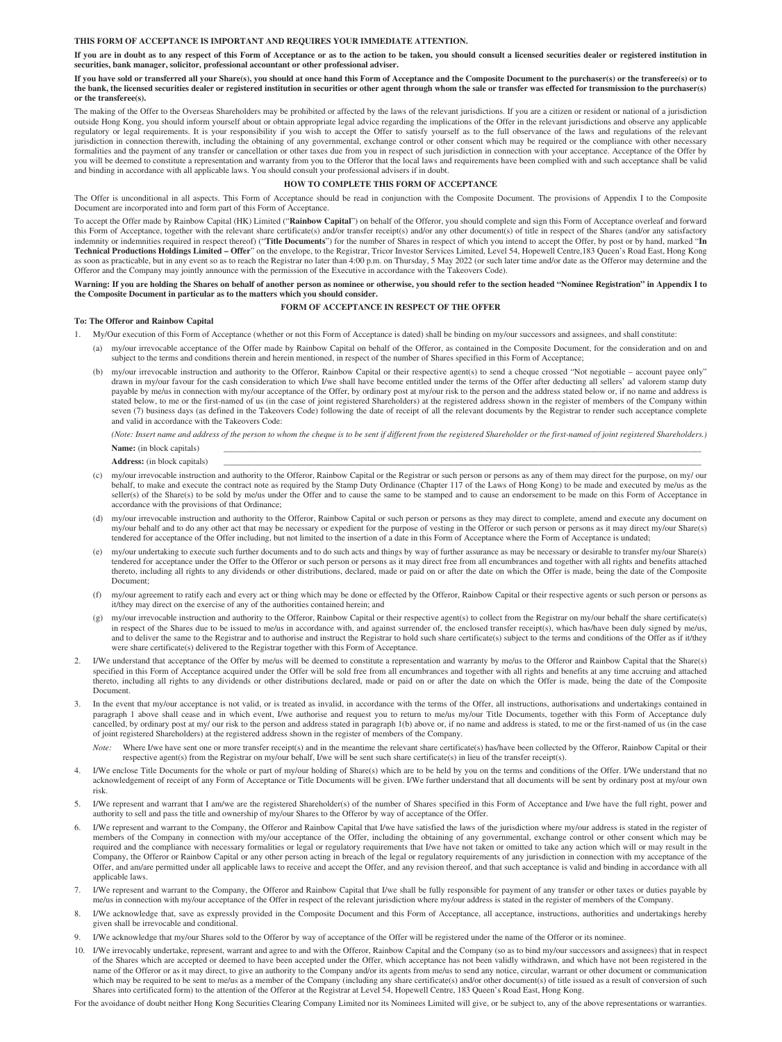#### **THIS FORM OF ACCEPTANCE IS IMPORTANT AND REQUIRES YOUR IMMEDIATE ATTENTION.**

**If you are in doubt as to any respect of this Form of Acceptance or as to the action to be taken, you should consult a licensed securities dealer or registered institution in securities, bank manager, solicitor, professional accountant or other professional adviser.**

#### **If you have sold or transferred all your Share(s), you should at once hand this Form of Acceptance and the Composite Document to the purchaser(s) or the transferee(s) or to the bank, the licensed securities dealer or registered institution in securities or other agent through whom the sale or transfer was effected for transmission to the purchaser(s) or the transferee(s).**

The making of the Offer to the Overseas Shareholders may be prohibited or affected by the laws of the relevant jurisdictions. If you are a citizen or resident or national of a jurisdiction outside Hong Kong, you should inform yourself about or obtain appropriate legal advice regarding the implications of the Offer in the relevant jurisdictions and observe any applicable regulatory or legal requirements. It is your responsibility if you wish to accept the Offer to satisfy yourself as to the full observance of the laws and regulations of the relevant jurisdiction in connection therewith, including the obtaining of any governmental, exchange control or other consent which may be required or the compliance with other necessary formalities and the payment of any transfer or cancellation or other taxes due from you in respect of such jurisdiction in connection with your acceptance. Acceptance of the Offer by you will be deemed to constitute a representation and warranty from you to the Offeror that the local laws and requirements have been complied with and such acceptance shall be valid and binding in accordance with all applicable laws. You should consult your professional advisers if in doubt.

### **HOW TO COMPLETE THIS FORM OF ACCEPTANCE**

The Offer is unconditional in all aspects. This Form of Acceptance should be read in conjunction with the Composite Document. The provisions of Appendix I to the Composite Document are incorporated into and form part of this Form of Acceptance.

To accept the Offer made by Rainbow Capital (HK) Limited ("**Rainbow Capital**") on behalf of the Offeror, you should complete and sign this Form of Acceptance overleaf and forward this Form of Acceptance, together with the relevant share certificate(s) and/or transfer receipt(s) and/or any other document(s) of title in respect of the Shares (and/or any satisfactory indemnity or indemnities required in respect thereof) ("**Title Documents**") for the number of Shares in respect of which you intend to accept the Offer, by post or by hand, marked "**In Technical Productions Holdings Limited – Offer**" on the envelope, to the Registrar, Tricor Investor Services Limited, Level 54, Hopewell Centre,183 Queen's Road East, Hong Kong as soon as practicable, but in any event so as to reach the Registrar no later than 4:00 p.m. on Thursday, 5 May 2022 (or such later time and/or date as the Offeror may determine and the Offeror and the Company may jointly announce with the permission of the Executive in accordance with the Takeovers Code).

**Warning: If you are holding the Shares on behalf of another person as nominee or otherwise, you should refer to the section headed "Nominee Registration" in Appendix I to the Composite Document in particular as to the matters which you should consider.**

### **FORM OF ACCEPTANCE IN RESPECT OF THE OFFER**

#### **To: The Offeror and Rainbow Capital**

- 1. My/Our execution of this Form of Acceptance (whether or not this Form of Acceptance is dated) shall be binding on my/our successors and assignees, and shall constitute:
	- (a) my/our irrevocable acceptance of the Offer made by Rainbow Capital on behalf of the Offeror, as contained in the Composite Document, for the consideration and on and subject to the terms and conditions therein and herein mentioned, in respect of the number of Shares specified in this Form of Acceptance;
	- (b) my/our irrevocable instruction and authority to the Offeror, Rainbow Capital or their respective agent(s) to send a cheque crossed "Not negotiable account payee only" drawn in my/our favour for the cash consideration to which I/we shall have become entitled under the terms of the Offer after deducting all sellers' ad valorem stamp duty payable by me/us in connection with my/our acceptance of the Offer, by ordinary post at my/our risk to the person and the address stated below or, if no name and address is stated below, to me or the first-named of us (in the case of joint registered Shareholders) at the registered address shown in the register of members of the Company within seven (7) business days (as defined in the Takeovers Code) following the date of receipt of all the relevant documents by the Registrar to render such acceptance complete and valid in accordance with the Takeovers Code:

*(Note: Insert name and address of the person to whom the cheque is to be sent if different from the registered Shareholder or the first-named of joint registered Shareholders.)* Name: (in block capitals)

- Address: (in block capitals)
- (c) my/our irrevocable instruction and authority to the Offeror, Rainbow Capital or the Registrar or such person or persons as any of them may direct for the purpose, on my/ our behalf, to make and execute the contract note as required by the Stamp Duty Ordinance (Chapter 117 of the Laws of Hong Kong) to be made and executed by me/us as the seller(s) of the Share(s) to be sold by me/us under the Offer and to cause the same to be stamped and to cause an endorsement to be made on this Form of Acceptance in accordance with the provisions of that Ordinance;
- (d) my/our irrevocable instruction and authority to the Offeror, Rainbow Capital or such person or persons as they may direct to complete, amend and execute any document on my/our behalf and to do any other act that may be necessary or expedient for the purpose of vesting in the Offeror or such person or persons as it may direct my/our Share(s) tendered for acceptance of the Offer including, but not limited to the insertion of a date in this Form of Acceptance where the Form of Acceptance is undated;
- (e) my/our undertaking to execute such further documents and to do such acts and things by way of further assurance as may be necessary or desirable to transfer my/our Share(s) tendered for acceptance under the Offer to the Offeror or such person or persons as it may direct free from all encumbrances and together with all rights and benefits attached thereto, including all rights to any dividends or other distributions, declared, made or paid on or after the date on which the Offer is made, being the date of the Composite Document;
- (f) my/our agreement to ratify each and every act or thing which may be done or effected by the Offeror, Rainbow Capital or their respective agents or such person or persons as it/they may direct on the exercise of any of the authorities contained herein; and
- (g) my/our irrevocable instruction and authority to the Offeror, Rainbow Capital or their respective agent(s) to collect from the Registrar on my/our behalf the share certificate(s) in respect of the Shares due to be issued to me/us in accordance with, and against surrender of, the enclosed transfer receipt(s), which has/have been duly signed by me/us, and to deliver the same to the Registrar and to authorise and instruct the Registrar to hold such share certificate(s) subject to the terms and conditions of the Offer as if it/they were share certificate(s) delivered to the Registrar together with this Form of Acceptance.
- 2. I/We understand that acceptance of the Offer by me/us will be deemed to constitute a representation and warranty by me/us to the Offeror and Rainbow Capital that the Share(s) specified in this Form of Acceptance acquired under the Offer will be sold free from all encumbrances and together with all rights and benefits at any time accruing and attached thereto, including all rights to any dividends or other distributions declared, made or paid on or after the date on which the Offer is made, being the date of the Composite Document.
- In the event that my/our acceptance is not valid, or is treated as invalid, in accordance with the terms of the Offer, all instructions, authorisations and undertakings contained in paragraph 1 above shall cease and in which event, I/we authorise and request you to return to me/us my/our Title Documents, together with this Form of Acceptance duly cancelled, by ordinary post at my/ our risk to the person and address stated in paragraph 1(b) above or, if no name and address is stated, to me or the first-named of us (in the case of joint registered Shareholders) at the registered address shown in the register of members of the Company.
	- *Note:* Where I/we have sent one or more transfer receipt(s) and in the meantime the relevant share certificate(s) has/have been collected by the Offeror, Rainbow Capital or their respective agent(s) from the Registrar on my/our behalf, I/we will be sent such share certificate(s) in lieu of the transfer receipt(s).
- 4. I/We enclose Title Documents for the whole or part of my/our holding of Share(s) which are to be held by you on the terms and conditions of the Offer. I/We understand that no acknowledgement of receipt of any Form of Acceptance or Title Documents will be given. I/We further understand that all documents will be sent by ordinary post at my/our own risk.
- 5. I/We represent and warrant that I am/we are the registered Shareholder(s) of the number of Shares specified in this Form of Acceptance and I/we have the full right, power and authority to sell and pass the title and ownership of my/our Shares to the Offeror by way of acceptance of the Offer.
- I/We represent and warrant to the Company, the Offeror and Rainbow Capital that I/we have satisfied the laws of the jurisdiction where my/our address is stated in the register of members of the Company in connection with my/our acceptance of the Offer, including the obtaining of any governmental, exchange control or other consent which may be required and the compliance with necessary formalities or legal or regulatory requirements that I/we have not taken or omitted to take any action which will or may result in the Company, the Offeror or Rainbow Capital or any other person acting in breach of the legal or regulatory requirements of any jurisdiction in connection with my acceptance of the Offer, and am/are permitted under all applicable laws to receive and accept the Offer, and any revision thereof, and that such acceptance is valid and binding in accordance with all applicable laws.
- 7. I/We represent and warrant to the Company, the Offeror and Rainbow Capital that I/we shall be fully responsible for payment of any transfer or other taxes or duties payable by me/us in connection with my/our acceptance of the Offer in respect of the relevant jurisdiction where my/our address is stated in the register of members of the Company.
- 8. I/We acknowledge that, save as expressly provided in the Composite Document and this Form of Acceptance, all acceptance, instructions, authorities and undertakings hereby given shall be irrevocable and conditional.
- I/We acknowledge that my/our Shares sold to the Offeror by way of acceptance of the Offer will be registered under the name of the Offeror or its nominee
- 10. I/We irrevocably undertake, represent, warrant and agree to and with the Offeror, Rainbow Capital and the Company (so as to bind my/our successors and assignees) that in respect of the Shares which are accepted or deemed to have been accepted under the Offer, which acceptance has not been validly withdrawn, and which have not been registered in the name of the Offeror or as it may direct, to give an authority to the Company and/or its agents from me/us to send any notice, circular, warrant or other document or communication which may be required to be sent to me/us as a member of the Company (including any share certificate(s) and/or other document(s) of title issued as a result of conversion of such Shares into certificated form) to the attention of the Offeror at the Registrar at Level 54, Hopewell Centre, 183 Queen's Road East, Hong Kong.

For the avoidance of doubt neither Hong Kong Securities Clearing Company Limited nor its Nominees Limited will give, or be subject to, any of the above representations or warranties.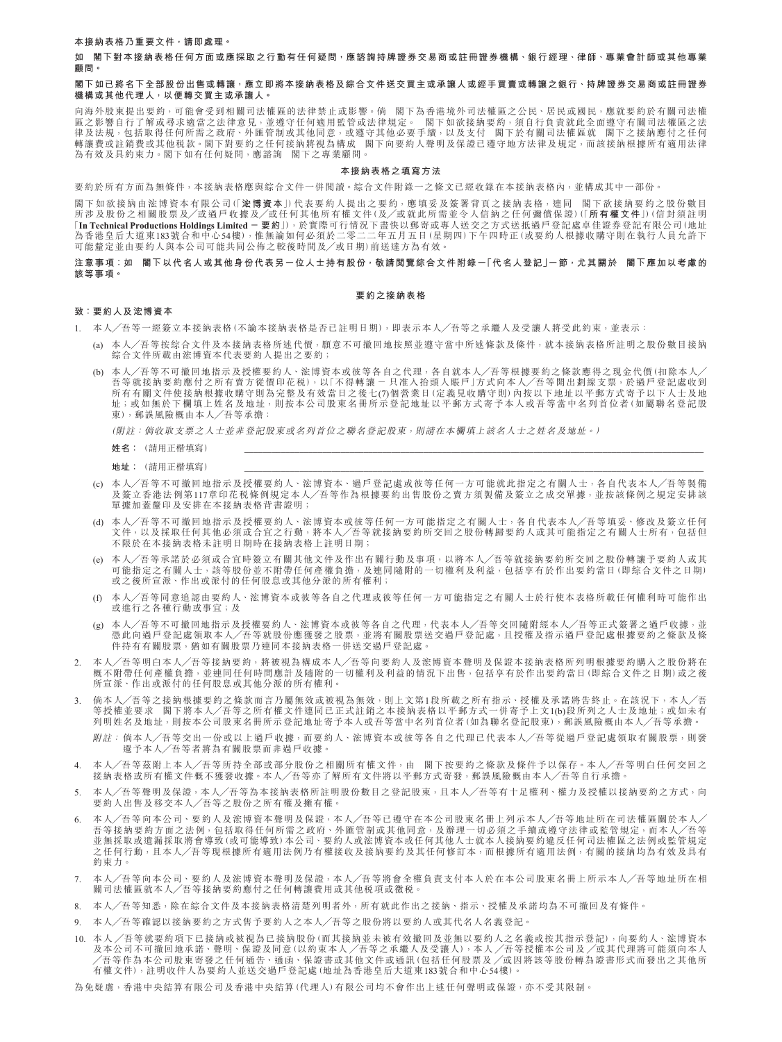**本接納表格乃重要文件,請即處理。**

**如 閣下對本接納表格任何方面或應採取之行動有任何疑問,應諮詢持牌證券交易商或註冊證券機構、銀行經理、律師、專業會計師或其他專業 顧問。**

### **閣下如已將名下全部股份出售或轉讓,應立即將本接納表格及綜合文件送交買主或承讓人或經手買賣或轉讓之銀行、持牌證券交易商或註冊證券 機構或其他代理人,以便轉交買主或承讓人。**

向海外股東提出要約,可能會受到相關司法權區的法律禁止或影響。倘 閣下為香港境外司法權區之公民、居民或國民,應就要約於有關司法權 區之影響自行了解或尋求適當之法律意見,並遵守任何適用監管或法律規定。 閣下如欲接納要約,須自行負責就此全面遵守有關司法權區之法 律及法規,包括取得任何所需之政府、外匯管制或其他同意,或遵守其他必要手續,以及支付 閣下於有關司法權區就 閣下之接納應付之任何 轉讓費或註銷費或其他稅款。閣下對要約之任何接納將視為構成 閣下向要約人聲明及保證已遵守地方法律及規定,而該接納根據所有適用法律 為有效及具約束力。閣下如有任何疑問,應諮詢 閣下之專業顧問。

#### **本接納表格之填寫方法**

要約於所有方面為無條件,本接納表格應與綜合文件一併閱讀。綜合文件附錄一之條文已經收錄在本接納表格內,並構成其中一部份。

閣下如欲接納由浤博資本有限公司(「**浤博資本**」)代表要約人提出之要約,應填妥及簽署背頁之接納表格,連同 閣下欲接納要約之股份數目 所涉及股份之相關股票及╱或過戶收據及╱或任何其他所有權文件(及╱或就此所需並令人信納之任何彌償保證)(「**所有權文件**」)(信封須註明 「**In Technical Productions Holdings Limited - 要約**」),於實際可行情況下盡快以郵寄或專人送交之方式送抵過戶登記處卓佳證券登記有限公司(地址 為香港皇后大道東183號合和中心54樓),惟無論如何必須於二零二二年五月五日(星期四)下午四時正(或要約人根據收購守則在執行人員允許下<br>可能釐定並由要約人與本公司可能共同公佈之較後時間及/或日期)前送達方為有效。

### **注意事項:如 閣下以代名人或其他身份代表另一位人士持有股份,敬請閱覽綜合文件附錄一「代名人登記」一節,尤其關於 閣下應加以考慮的 該等事項。**

### **要約之接納表格**

# **致:要約人及浤博資本**

- 1. 本人╱吾等一經簽立本接納表格(不論本接納表格是否已註明日期),即表示本人╱吾等之承繼人及受讓人將受此約束,並表示:
	- (a) 本人╱吾等按綜合文件及本接納表格所述代價,願意不可撤回地按照並遵守當中所述條款及條件,就本接納表格所註明之股份數目接納 綜合文件所載由浤博資本代表要約人提出之要約;
	- (b) 本人╱吾等不可撤回地指示及授權要約人、浤博資本或彼等各自之代理,各自就本人╱吾等根據要約之條款應得之現金代價(扣除本人╱ 吾等就接納要約應付之所有賣方從價印花税),以「不得轉讓 - 只准入抬頭人賬戶」方式向本人╱吾等開出劃線支票,於過戶登記處收到 所有有關文件使接納根據收購守則為完整及有效當日之後七(7)個營業日(定義見收購守則)內按以下地址以平郵方式寄予以下人士及地 址;或如無於下欄填上姓名及地址,則按本公司股東名冊所示登記地址以平郵方式寄予本人或吾等當中名列首位者(如屬聯名登記股 東),郵誤風險概由本人╱吾等承擔:

(附註:倘收取支票之人士並非登記股東或名列首位之聯名登記股東,則請在本欄填上該名人士之姓名及地址。)

- **地址:(請用正楷埴寫)**
- (c) 本人╱吾等不可撤回地指示及授權要約人、浤博資本、過戶登記處或彼等任何一方可能就此指定之有關人士,各自代表本人╱吾等製備 及簽立香港法例第117章印花稅條例規定本人╱吾等作為根據要約出售股份之賣方須製備及簽立之成交單據,並按該條例之規定安排該 單據加蓄釐印及安排在本接納表格背書證明。
- (d) 本人╱吾等不可撤回地指示及授權要約人、浤博資本或彼等任何一方可能指定之有關人士,各自代表本人╱吾等填妥、修改及簽立任何 文件,以及採取任何其他必須或合宜之行動,將本人╱吾等就接納要約所交回之股份轉歸要約人或其可能指定之有關人士所有,包括但 不限於在本接納表格未註明日期時在接納表格上註明日期;
- (e) 本人╱吾等承諾於必須或合宜時簽立有關其他文件及作出有關行動及事項,以將本人╱吾等就接納要約所交回之股份轉讓予要約人或其 可能指定之有關人士,該等股份並不附帶任何產權負擔,及連同隨附的一切權利及利益,包括享有於作出要約當日(即綜合文件之日期) 或之後所宣派、作出或派付的任何股息或其他分派的所有權利;
- (f) 本人╱吾等同意追認由要約人、浤博資本或彼等各自之代理或彼等任何一方可能指定之有關人士於行使本表格所載任何權利時可能作出 或進行之各種行動或事宜;及
- (g) 本人╱吾等不可撤回地指示及授權要約人、浤博資本或彼等各自之代理,代表本人╱吾等交回隨附經本人╱吾等正式簽署之過戶收據,並 憑此向過戶登記處領取本人╱吾等就股份應獲發之股票,並將有關股票送交過戶登記處,且授權及指示過戶登記處根據要約之條款及條 件持有有關股票,猶如有關股票乃連同本接納表格一併送交過戶登記處。
- 本人╱吾等明白本人╱吾等接納要約,將被視為構成本人╱吾等向要約人及浤博資本聲明及保證本接納表格所列明根據要約購入之股份將在 概不附帶任何產權負擔,並連同任何時間應計及隨附的一切權利及利益的情況下出售,包括享有於作出要約當日(即綜合文件之日期)或之後 所宣派、作出或派付的任何股息或其他分派的所有權利。
- 尚本人╱吾等之接納根據要約之條款而言乃屬無效或被視為無效,則上文第1段所載之所有指示、授權及承諾將告終止。在該況下,本人╱吾 等授權並要求 閣下將本人╱吾等之所有權文件連同已正式註銷之本接納表格以平郵方式一併寄予上文1(b)段所列之人士及地址;或如未有 列明姓名及地址,則按本公司股東名冊所示登記地址寄予本人或吾等當中名列首位者(如為聯名登記股東),郵誤風險概由本人╱吾等承擔。
	- 附註: 倘本人╱吾等交出一份或以上過戶收據,而要約人、浤博資本或彼等各自之代理已代表本人╱吾等從過戶登記處領取有關股票,則發 還予本人╱吾等者將為有關股票而非過戶收據。
- 4. 本人╱吾等茲附上本人╱吾等所持全部或部分股份之相關所有權文件,由 閣下按要約之條款及條件予以保存。本人╱吾等明白任何交回之 接納表格或所有權文件概不獲發收據。本人╱吾等亦了解所有文件將以平郵方式寄發,郵誤風險概由本人╱吾等自行承擔。
- 5. 本人╱吾等聲明及保證,本人╱吾等為本接納表格所註明股份數目之登記股東,且本人╱吾等有十足權利、權力及授權以接納要約之方式,向 要約人出售及移交本人╱吾等之股份之所有權及擁有權。
- 6. 本人╱吾等向本公司、要約人及浤博資本聲明及保證,本人╱吾等已遵守在本公司股東名冊上列示本人╱吾等地址所在司法權區關於本人╱ 吾等接納要約方面之法例,包括取得任何所需之政府、外匯管制或其他同意,及辦理一切必須之手續或遵守法律或監管規定,而本人╱吾等 並無採取或遺漏採取將會導致(或可能導致)本公司、要約人或浤博資本或任何其他人士就本人接納要約違反任何司法權區之法例或監管規定 之任何行動,且本人╱吾等現根據所有適用法例乃有權接收及接納要約及其任何修訂本,而根據所有適用法例,有關的接納均為有效及具有 約束力。
- 7. 本人╱吾等向本公司、要約人及浤博資本聲明及保證,本人╱吾等將會全權負責支付本人於在本公司股東名冊上所示本人╱吾等地址所在相 關司法權區就本人╱吾等接納要約應付之任何轉讓費用或其他稅項或徵稅。
- 8. 本人╱吾等知悉,除在綜合文件及本接納表格清楚列明者外,所有就此作出之接納、指示、授權及承諾均為不可撤回及有條件。
- 9. 本人/吾等確認以接納要約之方式售予要約人之本人/吾等之股份將以要約人或其代名人名義登記。
- 10. 本人 ╱吾等就要約項下已接納或被視為已接納股份(而其接納並未被有效撤回及並無以要約人之名義或按其指示登記),向要約人、浤博資本 及本公司不可撤回地承諾、聲明、保證及同意(以約束本人/吾等之承繼人及受讓人),本人/吾等授權本公司及/或其代理將可能須向本人 ╱吾等作為本公司股東寄發之任何通告、通函、保證書或其他文件或通訊(包括任何股票及 ╱或因將該等股份轉為證書形式而發出之其他所 有權文件),註明收件人為要約人並送交過戶登記處(地址為香港皇后大道東183號合和中心54樓)。

為免疑慮,香港中央結算有限公司及香港中央結算(代理人)有限公司均不會作出上述任何聲明或保證,亦不受其限制。

**姓名:**(請用正楷填寫)